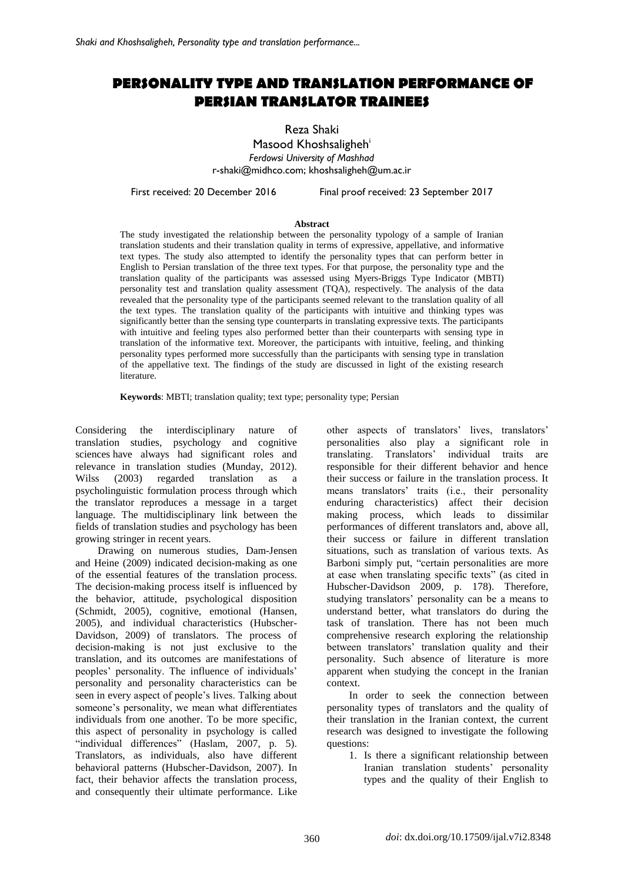# **PERSONALITY TYPE AND TRANSLATION PERFORMANCE OF PERSIAN TRANSLATOR TRAINEES**

Reza Shaki

Masood Khoshsaligheh<sup>i</sup> *Ferdowsi University of Mashhad* [r-shaki@midhco.com;](mailto:r-shaki@midhco.com) [khoshsaligheh@um.ac.ir](mailto:khoshsaligheh@um.ac.ir)

First received: 20 December 2016 Final proof received: 23 September 2017

#### **Abstract**

The study investigated the relationship between the personality typology of a sample of Iranian translation students and their translation quality in terms of expressive, appellative, and informative text types. The study also attempted to identify the personality types that can perform better in English to Persian translation of the three text types. For that purpose, the personality type and the translation quality of the participants was assessed using Myers-Briggs Type Indicator (MBTI) personality test and translation quality assessment (TQA), respectively. The analysis of the data revealed that the personality type of the participants seemed relevant to the translation quality of all the text types. The translation quality of the participants with intuitive and thinking types was significantly better than the sensing type counterparts in translating expressive texts. The participants with intuitive and feeling types also performed better than their counterparts with sensing type in translation of the informative text. Moreover, the participants with intuitive, feeling, and thinking personality types performed more successfully than the participants with sensing type in translation of the appellative text. The findings of the study are discussed in light of the existing research literature.

**Keywords**: MBTI; translation quality; text type; personality type; Persian

Considering the interdisciplinary nature of translation studies, psychology and cognitive sciences have always had significant roles and relevance in translation studies (Munday, 2012). Wilss (2003) regarded translation as a psycholinguistic formulation process through which the translator reproduces a message in a target language. The multidisciplinary link between the fields of translation studies and psychology has been growing stringer in recent years.

Drawing on numerous studies, Dam-Jensen and Heine (2009) indicated decision-making as one of the essential features of the translation process. The decision-making process itself is influenced by the behavior, attitude, psychological disposition (Schmidt, 2005), cognitive, emotional (Hansen, 2005), and individual characteristics (Hubscher-Davidson, 2009) of translators. The process of decision-making is not just exclusive to the translation, and its outcomes are manifestations of peoples' personality. The influence of individuals' personality and personality characteristics can be seen in every aspect of people's lives. Talking about someone's personality, we mean what differentiates individuals from one another. To be more specific, this aspect of personality in psychology is called "individual differences" (Haslam, 2007, p. 5). Translators, as individuals, also have different behavioral patterns (Hubscher-Davidson, 2007). In fact, their behavior affects the translation process, and consequently their ultimate performance. Like

other aspects of translators' lives, translators' personalities also play a significant role in translating. Translators' individual traits are responsible for their different behavior and hence their success or failure in the translation process. It means translators' traits (i.e., their personality enduring characteristics) affect their decision making process, which leads to dissimilar performances of different translators and, above all, their success or failure in different translation situations, such as translation of various texts. As Barboni simply put, "certain personalities are more at ease when translating specific texts" (as cited in Hubscher-Davidson 2009, p. 178). Therefore, studying translators' personality can be a means to understand better, what translators do during the task of translation. There has not been much comprehensive research exploring the relationship between translators' translation quality and their personality. Such absence of literature is more apparent when studying the concept in the Iranian context.

In order to seek the connection between personality types of translators and the quality of their translation in the Iranian context, the current research was designed to investigate the following questions:

1. Is there a significant relationship between Iranian translation students' personality types and the quality of their English to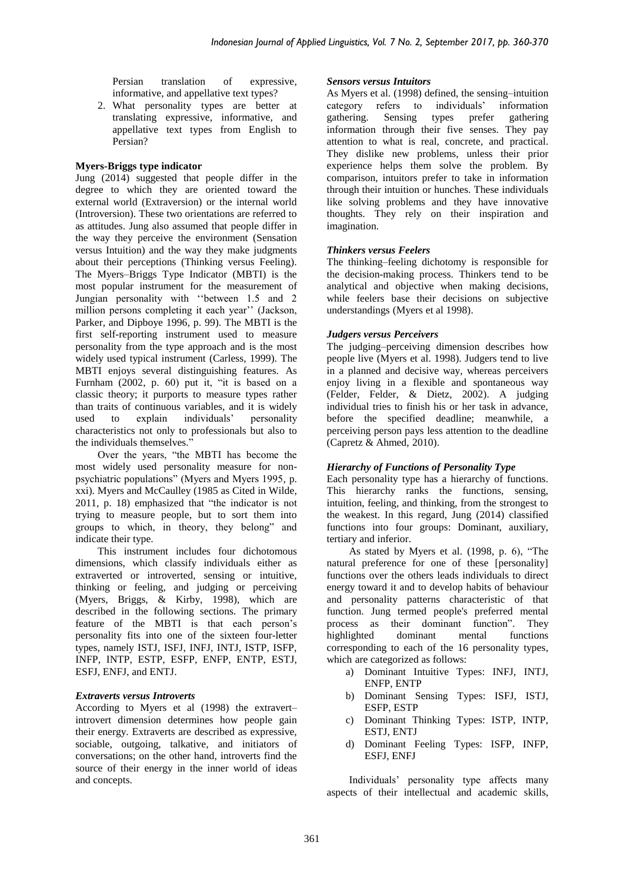Persian translation of expressive, informative, and appellative text types?

2. What personality types are better at translating expressive, informative, and appellative text types from English to Persian?

#### **Myers-Briggs type indicator**

Jung (2014) suggested that people differ in the degree to which they are oriented toward the external world (Extraversion) or the internal world (Introversion). These two orientations are referred to as attitudes. Jung also assumed that people differ in the way they perceive the environment (Sensation versus Intuition) and the way they make judgments about their perceptions (Thinking versus Feeling). The Myers–Briggs Type Indicator (MBTI) is the most popular instrument for the measurement of Jungian personality with ''between 1.5 and 2 million persons completing it each year'' (Jackson, Parker, and Dipboye 1996, p. 99). The MBTI is the first self-reporting instrument used to measure personality from the type approach and is the most widely used typical instrument (Carless, 1999). The MBTI enjoys several distinguishing features. As Furnham (2002, p. 60) put it, "it is based on a classic theory; it purports to measure types rather than traits of continuous variables, and it is widely<br>used to explain individuals' personality used to explain individuals' personality characteristics not only to professionals but also to the individuals themselves.'

Over the years, "the MBTI has become the most widely used personality measure for nonpsychiatric populations" (Myers and Myers 1995, p. xxi). Myers and McCaulley (1985 as Cited in Wilde, 2011, p. 18) emphasized that "the indicator is not trying to measure people, but to sort them into groups to which, in theory, they belong" and indicate their type.

This instrument includes four dichotomous dimensions, which classify individuals either as extraverted or introverted, sensing or intuitive, thinking or feeling, and judging or perceiving (Myers, Briggs, & Kirby, 1998), which are described in the following sections. The primary feature of the MBTI is that each person's personality fits into one of the sixteen four-letter types, namely ISTJ, ISFJ, INFJ, INTJ, ISTP, ISFP, INFP, INTP, ESTP, ESFP, ENFP, ENTP, ESTJ, ESFJ, ENFJ, and ENTJ.

#### *Extraverts versus Introverts*

According to Myers et al (1998) the extravert– introvert dimension determines how people gain their energy. Extraverts are described as expressive, sociable, outgoing, talkative, and initiators of conversations; on the other hand, introverts find the source of their energy in the inner world of ideas and concepts.

#### *Sensors versus Intuitors*

As Myers et al. (1998) defined, the sensing–intuition category refers to individuals' information gathering. Sensing types prefer gathering information through their five senses. They pay attention to what is real, concrete, and practical. They dislike new problems, unless their prior experience helps them solve the problem. By comparison, intuitors prefer to take in information through their intuition or hunches. These individuals like solving problems and they have innovative thoughts. They rely on their inspiration and imagination.

#### *Thinkers versus Feelers*

The thinking–feeling dichotomy is responsible for the decision-making process. Thinkers tend to be analytical and objective when making decisions, while feelers base their decisions on subjective understandings (Myers et al 1998).

#### *Judgers versus Perceivers*

The judging–perceiving dimension describes how people live (Myers et al. 1998). Judgers tend to live in a planned and decisive way, whereas perceivers enjoy living in a flexible and spontaneous way (Felder, Felder, & Dietz, 2002). A judging individual tries to finish his or her task in advance, before the specified deadline; meanwhile, a perceiving person pays less attention to the deadline (Capretz & Ahmed, 2010).

# *Hierarchy of Functions of Personality Type*

Each personality type has a hierarchy of functions. This hierarchy ranks the functions, sensing, intuition, feeling, and thinking, from the strongest to the weakest. In this regard, Jung (2014) classified functions into four groups: Dominant, auxiliary, tertiary and inferior.

As stated by Myers et al. (1998, p. 6), "The natural preference for one of these [personality] functions over the others leads individuals to direct energy toward it and to develop habits of behaviour and personality patterns characteristic of that function. Jung termed people's preferred mental process as their dominant function". They highlighted dominant mental functions corresponding to each of the 16 personality types, which are categorized as follows:

- a) Dominant Intuitive Types: INFJ, INTJ, ENFP, ENTP
- b) Dominant Sensing Types: ISFJ, ISTJ, ESFP, ESTP
- c) Dominant Thinking Types: ISTP, INTP, ESTJ, ENTJ
- d) Dominant Feeling Types: ISFP, INFP, ESFJ, ENFJ

Individuals' personality type affects many aspects of their intellectual and academic skills,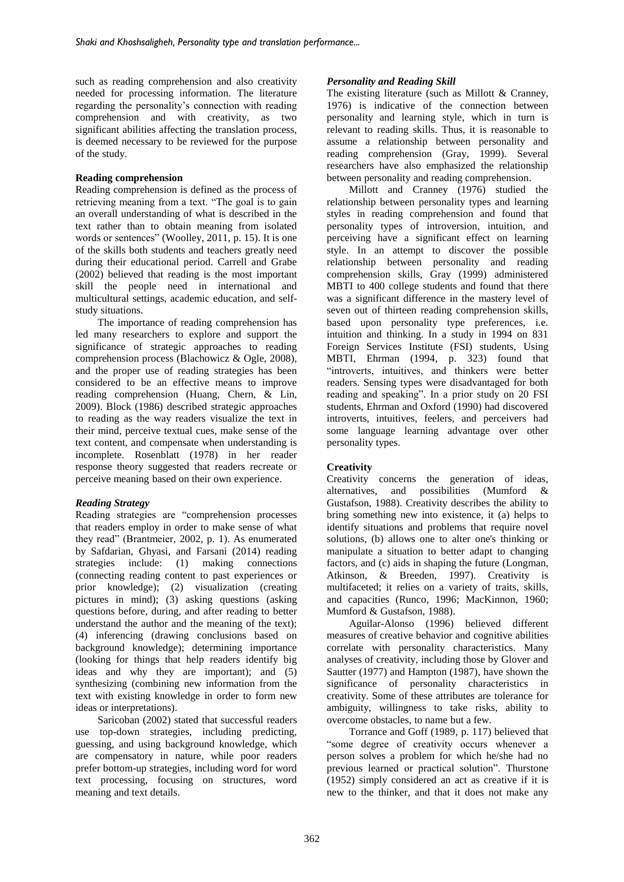such as reading comprehension and also creativity needed for processing information. The literature regarding the personality's connection with reading comprehension and with creativity, as two significant abilities affecting the translation process, is deemed necessary to be reviewed for the purpose of the study.

#### **Reading comprehension**

Reading comprehension is defined as the process of retrieving meaning from a text. "The goal is to gain an overall understanding of what is described in the text rather than to obtain meaning from isolated words or sentences" (Woolley, 2011, p. 15). It is one of the skills both students and teachers greatly need during their educational period. Carrell and Grabe (2002) believed that reading is the most important skill the people need in international and multicultural settings, academic education, and selfstudy situations.

The importance of reading comprehension has led many researchers to explore and support the significance of strategic approaches to reading comprehension process (Blachowicz & Ogle, 2008), and the proper use of reading strategies has been considered to be an effective means to improve reading comprehension (Huang, Chern, & Lin, 2009). Block (1986) described strategic approaches to reading as the way readers visualize the text in their mind, perceive textual cues, make sense of the text content, and compensate when understanding is incomplete. Rosenblatt (1978) in her reader response theory suggested that readers recreate or perceive meaning based on their own experience.

# *Reading Strategy*

Reading strategies are "comprehension processes that readers employ in order to make sense of what they read" (Brantmeier, 2002, p. 1). As enumerated by Safdarian, Ghyasi, and Farsani (2014) reading strategies include: (1) making connections (connecting reading content to past experiences or prior knowledge); (2) visualization (creating pictures in mind); (3) asking questions (asking questions before, during, and after reading to better understand the author and the meaning of the text); (4) inferencing (drawing conclusions based on background knowledge); determining importance (looking for things that help readers identify big ideas and why they are important); and (5) synthesizing (combining new information from the text with existing knowledge in order to form new ideas or interpretations).

Saricoban (2002) stated that successful readers use top-down strategies, including predicting, guessing, and using background knowledge, which are compensatory in nature, while poor readers prefer bottom-up strategies, including word for word text processing, focusing on structures, word meaning and text details.

# *Personality and Reading Skill*

The existing literature (such as Millott & Cranney, 1976) is indicative of the connection between personality and learning style, which in turn is relevant to reading skills. Thus, it is reasonable to assume a relationship between personality and reading comprehension (Gray, 1999). Several researchers have also emphasized the relationship between personality and reading comprehension.

Millott and Cranney (1976) studied the relationship between personality types and learning styles in reading comprehension and found that personality types of introversion, intuition, and perceiving have a significant effect on learning style. In an attempt to discover the possible relationship between personality and reading comprehension skills, Gray (1999) administered MBTI to 400 college students and found that there was a significant difference in the mastery level of seven out of thirteen reading comprehension skills, based upon personality type preferences, i.e. intuition and thinking. In a study in 1994 on 831 Foreign Services Institute (FSI) students, Using MBTI, Ehrman (1994, p. 323) found that "introverts, intuitives, and thinkers were better readers. Sensing types were disadvantaged for both reading and speaking". In a prior study on 20 FSI students, Ehrman and Oxford (1990) had discovered introverts, intuitives, feelers, and perceivers had some language learning advantage over other personality types.

# **Creativity**

Creativity concerns the generation of ideas, alternatives, and possibilities (Mumford & Gustafson, 1988). Creativity describes the ability to bring something new into existence, it (a) helps to identify situations and problems that require novel solutions, (b) allows one to alter one's thinking or manipulate a situation to better adapt to changing factors, and (c) aids in shaping the future (Longman, Atkinson, & Breeden, 1997). Creativity is multifaceted; it relies on a variety of traits, skills, and capacities (Runco, 1996; MacKinnon, 1960; Mumford & Gustafson, 1988).

Aguilar-Alonso (1996) believed different measures of creative behavior and cognitive abilities correlate with personality characteristics. Many analyses of creativity, including those by Glover and Sautter (1977) and Hampton (1987), have shown the significance of personality characteristics in creativity. Some of these attributes are tolerance for ambiguity, willingness to take risks, ability to overcome obstacles, to name but a few.

Torrance and Goff (1989, p. 117) believed that "some degree of creativity occurs whenever a person solves a problem for which he/she had no previous learned or practical solution". Thurstone (1952) simply considered an act as creative if it is new to the thinker, and that it does not make any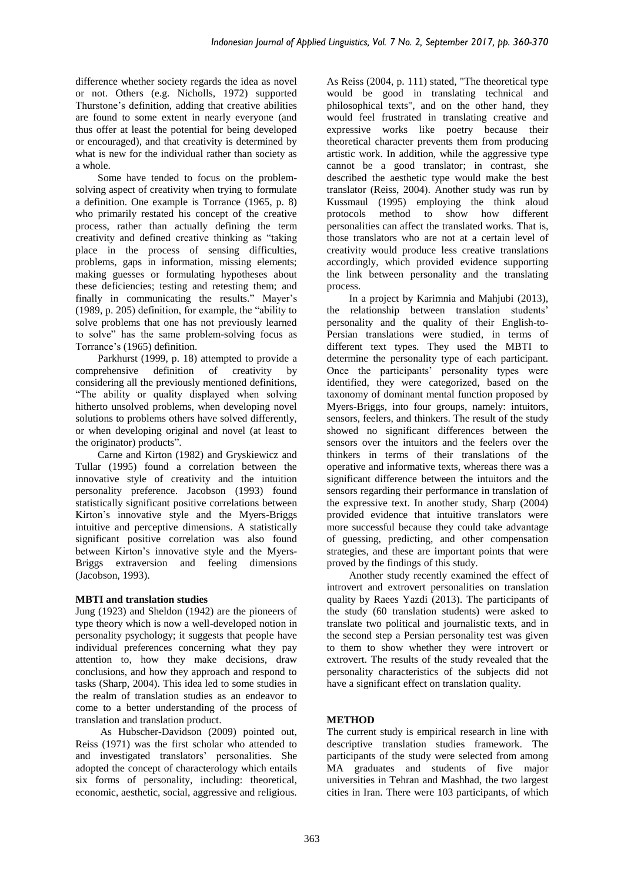difference whether society regards the idea as novel or not. Others (e.g. Nicholls, 1972) supported Thurstone's definition, adding that creative abilities are found to some extent in nearly everyone (and thus offer at least the potential for being developed or encouraged), and that creativity is determined by what is new for the individual rather than society as a whole.

Some have tended to focus on the problemsolving aspect of creativity when trying to formulate a definition. One example is Torrance (1965, p. 8) who primarily restated his concept of the creative process, rather than actually defining the term creativity and defined creative thinking as "taking place in the process of sensing difficulties, problems, gaps in information, missing elements; making guesses or formulating hypotheses about these deficiencies; testing and retesting them; and finally in communicating the results." Mayer's (1989, p. 205) definition, for example, the "ability to solve problems that one has not previously learned to solve" has the same problem-solving focus as Torrance's (1965) definition.

Parkhurst (1999, p. 18) attempted to provide a comprehensive definition of creativity by considering all the previously mentioned definitions, "The ability or quality displayed when solving hitherto unsolved problems, when developing novel solutions to problems others have solved differently, or when developing original and novel (at least to the originator) products".

Carne and Kirton (1982) and Gryskiewicz and Tullar (1995) found a correlation between the innovative style of creativity and the intuition personality preference. Jacobson (1993) found statistically significant positive correlations between Kirton's innovative style and the Myers-Briggs intuitive and perceptive dimensions. A statistically significant positive correlation was also found between Kirton's innovative style and the Myers-Briggs extraversion and feeling dimensions (Jacobson, 1993).

# **MBTI and translation studies**

Jung (1923) and Sheldon (1942) are the pioneers of type theory which is now a well-developed notion in personality psychology; it suggests that people have individual preferences concerning what they pay attention to, how they make decisions, draw conclusions, and how they approach and respond to tasks (Sharp, 2004). This idea led to some studies in the realm of translation studies as an endeavor to come to a better understanding of the process of translation and translation product.

As Hubscher-Davidson (2009) pointed out, Reiss (1971) was the first scholar who attended to and investigated translators' personalities. She adopted the concept of characterology which entails six forms of personality, including: theoretical, economic, aesthetic, social, aggressive and religious. As Reiss (2004, p. 111) stated, "The theoretical type would be good in translating technical and philosophical texts", and on the other hand, they would feel frustrated in translating creative and expressive works like poetry because their theoretical character prevents them from producing artistic work. In addition, while the aggressive type cannot be a good translator; in contrast, she described the aesthetic type would make the best translator (Reiss, 2004). Another study was run by Kussmaul (1995) employing the think aloud protocols method to show how different personalities can affect the translated works. That is, those translators who are not at a certain level of creativity would produce less creative translations accordingly, which provided evidence supporting the link between personality and the translating process.

In a project by Karimnia and Mahjubi (2013), the relationship between translation students' personality and the quality of their English-to-Persian translations were studied, in terms of different text types. They used the MBTI to determine the personality type of each participant. Once the participants' personality types were identified, they were categorized, based on the taxonomy of dominant mental function proposed by Myers-Briggs, into four groups, namely: intuitors, sensors, feelers, and thinkers. The result of the study showed no significant differences between the sensors over the intuitors and the feelers over the thinkers in terms of their translations of the operative and informative texts, whereas there was a significant difference between the intuitors and the sensors regarding their performance in translation of the expressive text. In another study, Sharp (2004) provided evidence that intuitive translators were more successful because they could take advantage of guessing, predicting, and other compensation strategies, and these are important points that were proved by the findings of this study.

Another study recently examined the effect of introvert and extrovert personalities on translation quality by Raees Yazdi (2013). The participants of the study (60 translation students) were asked to translate two political and journalistic texts, and in the second step a Persian personality test was given to them to show whether they were introvert or extrovert. The results of the study revealed that the personality characteristics of the subjects did not have a significant effect on translation quality.

# **METHOD**

The current study is empirical research in line with descriptive translation studies framework. The participants of the study were selected from among MA graduates and students of five major universities in Tehran and Mashhad, the two largest cities in Iran. There were 103 participants, of which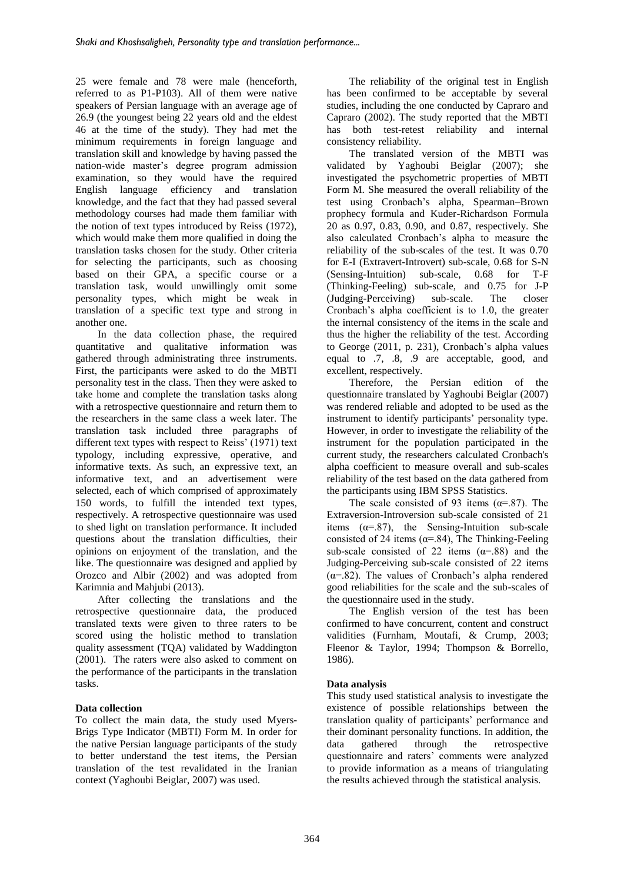25 were female and 78 were male (henceforth, referred to as P1-P103). All of them were native speakers of Persian language with an average age of 26.9 (the youngest being 22 years old and the eldest 46 at the time of the study). They had met the minimum requirements in foreign language and translation skill and knowledge by having passed the nation-wide master's degree program admission examination, so they would have the required English language efficiency and translation knowledge, and the fact that they had passed several methodology courses had made them familiar with the notion of text types introduced by Reiss (1972), which would make them more qualified in doing the translation tasks chosen for the study. Other criteria for selecting the participants, such as choosing based on their GPA, a specific course or a translation task, would unwillingly omit some personality types, which might be weak in translation of a specific text type and strong in another one.

In the data collection phase, the required quantitative and qualitative information was gathered through administrating three instruments. First, the participants were asked to do the MBTI personality test in the class. Then they were asked to take home and complete the translation tasks along with a retrospective questionnaire and return them to the researchers in the same class a week later. The translation task included three paragraphs of different text types with respect to Reiss' (1971) text typology, including expressive, operative, and informative texts. As such, an expressive text, an informative text, and an advertisement were selected, each of which comprised of approximately 150 words, to fulfill the intended text types, respectively. A retrospective questionnaire was used to shed light on translation performance. It included questions about the translation difficulties, their opinions on enjoyment of the translation, and the like. The questionnaire was designed and applied by Orozco and Albir (2002) and was adopted from Karimnia and Mahjubi (2013).

After collecting the translations and the retrospective questionnaire data, the produced translated texts were given to three raters to be scored using the holistic method to translation quality assessment (TQA) validated by Waddington (2001). The raters were also asked to comment on the performance of the participants in the translation tasks.

# **Data collection**

To collect the main data, the study used Myers-Brigs Type Indicator (MBTI) Form M. In order for the native Persian language participants of the study to better understand the test items, the Persian translation of the test revalidated in the Iranian context (Yaghoubi Beiglar, 2007) was used.

The reliability of the original test in English has been confirmed to be acceptable by several studies, including the one conducted by Capraro and Capraro (2002). The study reported that the MBTI has both test-retest reliability and internal consistency reliability.

The translated version of the MBTI was validated by Yaghoubi Beiglar (2007); she investigated the psychometric properties of MBTI Form M. She measured the overall reliability of the test using Cronbach's alpha, Spearman–Brown prophecy formula and Kuder-Richardson Formula 20 as 0.97, 0.83, 0.90, and 0.87, respectively. She also calculated Cronbach's alpha to measure the reliability of the sub-scales of the test. It was 0.70 for E-I (Extravert-Introvert) sub-scale, 0.68 for S-N (Sensing-Intuition) sub-scale, 0.68 for T-F (Thinking-Feeling) sub-scale, and 0.75 for J-P (Judging-Perceiving) sub-scale. The closer Cronbach's alpha coefficient is to 1.0, the greater the internal consistency of the items in the scale and thus the higher the reliability of the test. According to George (2011, p. 231), Cronbach's alpha values equal to .7, .8, .9 are acceptable, good, and excellent, respectively.

Therefore, the Persian edition of the questionnaire translated by Yaghoubi Beiglar (2007) was rendered reliable and adopted to be used as the instrument to identify participants' personality type. However, in order to investigate the reliability of the instrument for the population participated in the current study, the researchers calculated Cronbach's alpha coefficient to measure overall and sub-scales reliability of the test based on the data gathered from the participants using IBM SPSS Statistics.

The scale consisted of 93 items ( $\alpha$ =.87). The Extraversion-Introversion sub-scale consisted of 21 items  $(\alpha = .87)$ , the Sensing-Intuition sub-scale consisted of 24 items ( $\alpha$ =.84), The Thinking-Feeling sub-scale consisted of 22 items  $(\alpha = .88)$  and the Judging-Perceiving sub-scale consisted of 22 items  $(\alpha = .82)$ . The values of Cronbach's alpha rendered good reliabilities for the scale and the sub-scales of the questionnaire used in the study.

The English version of the test has been confirmed to have concurrent, content and construct validities (Furnham, Moutafi, & Crump, 2003; Fleenor & Taylor, 1994; Thompson & Borrello, 1986).

# **Data analysis**

This study used statistical analysis to investigate the existence of possible relationships between the translation quality of participants' performance and their dominant personality functions. In addition, the data gathered through the retrospective questionnaire and raters' comments were analyzed to provide information as a means of triangulating the results achieved through the statistical analysis.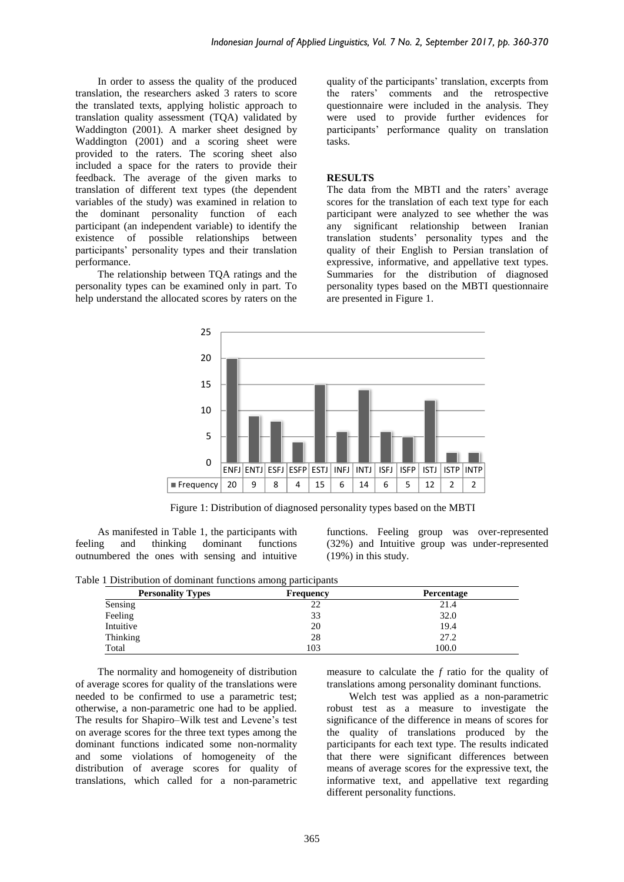In order to assess the quality of the produced translation, the researchers asked 3 raters to score the translated texts, applying holistic approach to translation quality assessment (TQA) validated by Waddington (2001). A marker sheet designed by Waddington (2001) and a scoring sheet were provided to the raters. The scoring sheet also included a space for the raters to provide their feedback. The average of the given marks to translation of different text types (the dependent variables of the study) was examined in relation to the dominant personality function of each participant (an independent variable) to identify the existence of possible relationships between participants' personality types and their translation performance.

The relationship between TQA ratings and the personality types can be examined only in part. To help understand the allocated scores by raters on the quality of the participants' translation, excerpts from the raters' comments and the retrospective questionnaire were included in the analysis. They were used to provide further evidences for participants' performance quality on translation tasks.

#### **RESULTS**

The data from the MBTI and the raters' average scores for the translation of each text type for each participant were analyzed to see whether the was any significant relationship between Iranian translation students' personality types and the quality of their English to Persian translation of expressive, informative, and appellative text types. Summaries for the distribution of diagnosed personality types based on the MBTI questionnaire are presented in Figure 1.



Figure 1: Distribution of diagnosed personality types based on the MBTI

As manifested in Table 1, the participants with feeling and thinking dominant functions outnumbered the ones with sensing and intuitive functions. Feeling group was over-represented (32%) and Intuitive group was under-represented (19%) in this study.

|  | Table 1 Distribution of dominant functions among participants |  |  |  |
|--|---------------------------------------------------------------|--|--|--|
|  |                                                               |  |  |  |

| <b>Personality Types</b> | <b>Frequency</b> | <b>Percentage</b> |
|--------------------------|------------------|-------------------|
| Sensing                  | 22               | 21.4              |
| Feeling                  | 33               | 32.0              |
| Intuitive                | 20               | 19.4              |
| Thinking                 | 28               | 27.2              |
| Total                    | 103              | 100.0             |

The normality and homogeneity of distribution of average scores for quality of the translations were needed to be confirmed to use a parametric test; otherwise, a non-parametric one had to be applied. The results for Shapiro–Wilk test and Levene's test on average scores for the three text types among the dominant functions indicated some non-normality and some violations of homogeneity of the distribution of average scores for quality of translations, which called for a non-parametric measure to calculate the *f* ratio for the quality of translations among personality dominant functions.

Welch test was applied as a non-parametric robust test as a measure to investigate the significance of the difference in means of scores for the quality of translations produced by the participants for each text type. The results indicated that there were significant differences between means of average scores for the expressive text, the informative text, and appellative text regarding different personality functions.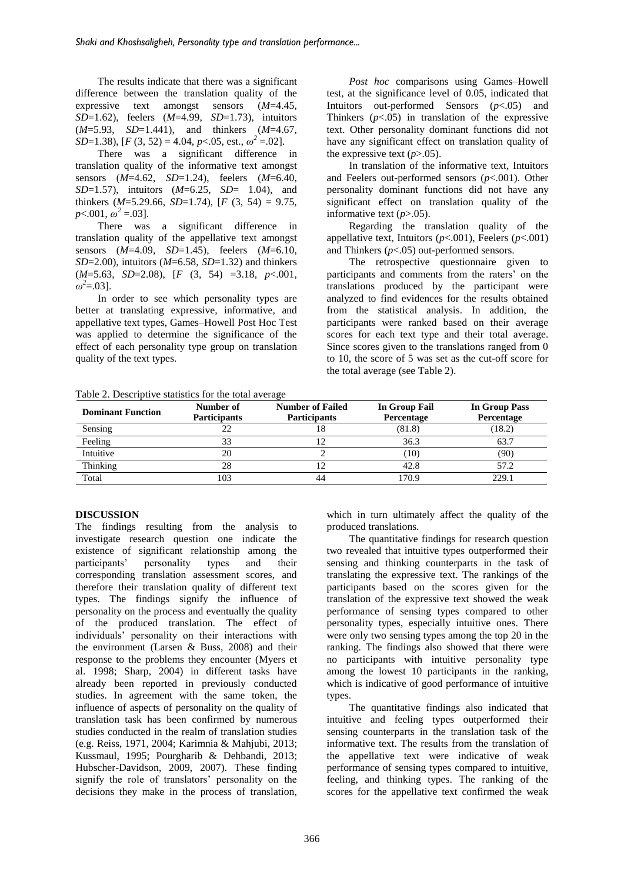The results indicate that there was a significant difference between the translation quality of the expressive text amongst sensors (*M*=4.45, *SD*=1.62), feelers (*M*=4.99, *SD*=1.73), intuitors (*M*=5.93, *SD*=1.441), and thinkers (*M*=4.67, *SD*=1.38), [*F* (3, 52) = 4.04, *p*<.05, est.,  $ω^2$  =.02].

There was a significant difference in translation quality of the informative text amongst sensors (*M*=4.62, *SD*=1.24), feelers (*M*=6.40, *SD*=1.57), intuitors (*M*=6.25, *SD*= 1.04), and thinkers  $(M=5.29.66, SD=1.74)$ ,  $[F(3, 54) = 9.75$ ,  $p<.001, \omega^2 = .03$ .

There was a significant difference in translation quality of the appellative text amongst sensors (*M*=4.09, *SD*=1.45), feelers (*M*=6.10, *SD*=2.00), intuitors (*M*=6.58, *SD*=1.32) and thinkers (*M*=5.63, *SD*=2.08), [*F* (3, 54) =3.18, *p*<.001,  $\omega^2 = 0.03$ ].

In order to see which personality types are better at translating expressive, informative, and appellative text types, Games–Howell Post Hoc Test was applied to determine the significance of the effect of each personality type group on translation quality of the text types.

*Post hoc* comparisons using Games–Howell test, at the significance level of 0.05, indicated that Intuitors out-performed Sensors (*p*<.05) and Thinkers  $(p<.05)$  in translation of the expressive text. Other personality dominant functions did not have any significant effect on translation quality of the expressive text  $(p>0.05)$ .

In translation of the informative text, Intuitors and Feelers out-performed sensors (*p*<.001). Other personality dominant functions did not have any significant effect on translation quality of the informative text  $(p>0.05)$ .

Regarding the translation quality of the appellative text, Intuitors (*p*<.001), Feelers (*p*<.001) and Thinkers (*p*<.05) out-performed sensors.

The retrospective questionnaire given to participants and comments from the raters' on the translations produced by the participant were analyzed to find evidences for the results obtained from the statistical analysis. In addition, the participants were ranked based on their average scores for each text type and their total average. Since scores given to the translations ranged from 0 to 10, the score of 5 was set as the cut-off score for the total average (see Table 2).

Table 2. Descriptive statistics for the total average

| <b>Dominant Function</b> | Number of<br><b>Participants</b> | <b>Number of Failed</b><br><b>Participants</b> | In Group Fail<br>Percentage | In Group Pass<br>Percentage |
|--------------------------|----------------------------------|------------------------------------------------|-----------------------------|-----------------------------|
| Sensing                  |                                  |                                                | (81.8)                      | (18.2)                      |
| Feeling                  |                                  |                                                | 36.3                        | 63.7                        |
| Intuitive                | 20                               |                                                | (10)                        | (90)                        |
| Thinking                 | 28                               |                                                | 42.8                        | 57.2                        |
| Total                    | 103                              | 44                                             | 170.9                       | 229.1                       |

#### **DISCUSSION**

The findings resulting from the analysis to investigate research question one indicate the existence of significant relationship among the participants' personality types and their corresponding translation assessment scores, and therefore their translation quality of different text types. The findings signify the influence of personality on the process and eventually the quality of the produced translation. The effect of individuals' personality on their interactions with the environment (Larsen & Buss, 2008) and their response to the problems they encounter (Myers et al. 1998; Sharp, 2004) in different tasks have already been reported in previously conducted studies. In agreement with the same token, the influence of aspects of personality on the quality of translation task has been confirmed by numerous studies conducted in the realm of translation studies (e.g. Reiss, 1971, 2004; Karimnia & Mahjubi, 2013; Kussmaul, 1995; Pourgharib & Dehbandi, 2013; Hubscher-Davidson, 2009, 2007). These finding signify the role of translators' personality on the decisions they make in the process of translation, which in turn ultimately affect the quality of the produced translations.

The quantitative findings for research question two revealed that intuitive types outperformed their sensing and thinking counterparts in the task of translating the expressive text. The rankings of the participants based on the scores given for the translation of the expressive text showed the weak performance of sensing types compared to other personality types, especially intuitive ones. There were only two sensing types among the top 20 in the ranking. The findings also showed that there were no participants with intuitive personality type among the lowest 10 participants in the ranking, which is indicative of good performance of intuitive types.

The quantitative findings also indicated that intuitive and feeling types outperformed their sensing counterparts in the translation task of the informative text. The results from the translation of the appellative text were indicative of weak performance of sensing types compared to intuitive, feeling, and thinking types. The ranking of the scores for the appellative text confirmed the weak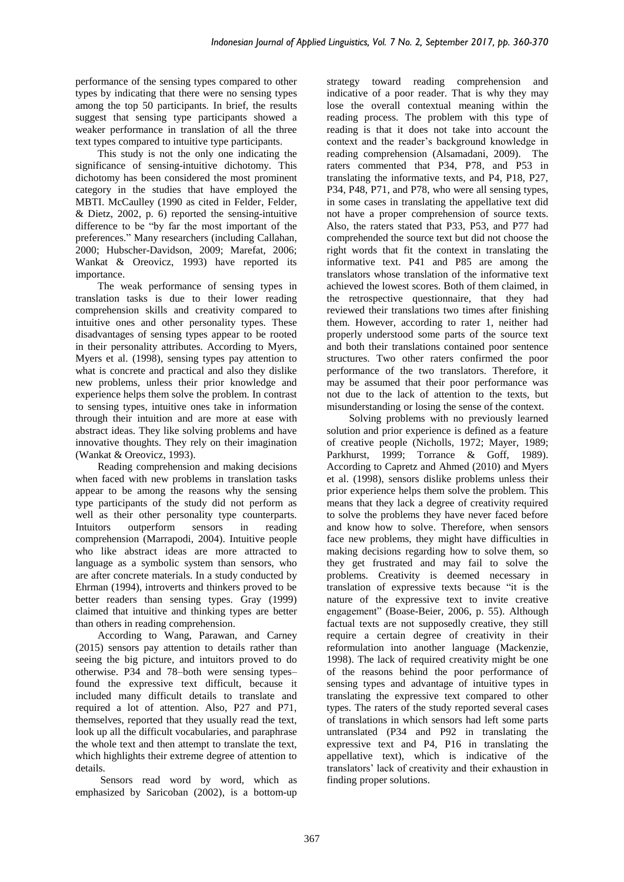performance of the sensing types compared to other types by indicating that there were no sensing types among the top 50 participants. In brief, the results suggest that sensing type participants showed a weaker performance in translation of all the three text types compared to intuitive type participants.

This study is not the only one indicating the significance of sensing-intuitive dichotomy. This dichotomy has been considered the most prominent category in the studies that have employed the MBTI. McCaulley (1990 as cited in Felder, Felder, & Dietz, 2002, p. 6) reported the sensing-intuitive difference to be "by far the most important of the preferences." Many researchers (including Callahan, 2000; Hubscher-Davidson, 2009; Marefat, 2006; Wankat & Oreovicz, 1993) have reported its importance.

The weak performance of sensing types in translation tasks is due to their lower reading comprehension skills and creativity compared to intuitive ones and other personality types. These disadvantages of sensing types appear to be rooted in their personality attributes. According to Myers, Myers et al. (1998), sensing types pay attention to what is concrete and practical and also they dislike new problems, unless their prior knowledge and experience helps them solve the problem. In contrast to sensing types, intuitive ones take in information through their intuition and are more at ease with abstract ideas. They like solving problems and have innovative thoughts. They rely on their imagination (Wankat & Oreovicz, 1993).

Reading comprehension and making decisions when faced with new problems in translation tasks appear to be among the reasons why the sensing type participants of the study did not perform as well as their other personality type counterparts. Intuitors outperform sensors in reading comprehension (Marrapodi, 2004). Intuitive people who like abstract ideas are more attracted to language as a symbolic system than sensors, who are after concrete materials. In a study conducted by Ehrman (1994), introverts and thinkers proved to be better readers than sensing types. Gray (1999) claimed that intuitive and thinking types are better than others in reading comprehension.

According to Wang, Parawan, and Carney (2015) sensors pay attention to details rather than seeing the big picture, and intuitors proved to do otherwise. P34 and 78–both were sensing types– found the expressive text difficult, because it included many difficult details to translate and required a lot of attention. Also, P27 and P71, themselves, reported that they usually read the text, look up all the difficult vocabularies, and paraphrase the whole text and then attempt to translate the text, which highlights their extreme degree of attention to details.

Sensors read word by word, which as emphasized by Saricoban (2002), is a bottom-up strategy toward reading comprehension and indicative of a poor reader. That is why they may lose the overall contextual meaning within the reading process. The problem with this type of reading is that it does not take into account the context and the reader's background knowledge in reading comprehension (Alsamadani, 2009). The raters commented that P34, P78, and P53 in translating the informative texts, and P4, P18, P27, P34, P48, P71, and P78, who were all sensing types, in some cases in translating the appellative text did not have a proper comprehension of source texts. Also, the raters stated that P33, P53, and P77 had comprehended the source text but did not choose the right words that fit the context in translating the informative text. P41 and P85 are among the translators whose translation of the informative text achieved the lowest scores. Both of them claimed, in the retrospective questionnaire, that they had reviewed their translations two times after finishing them. However, according to rater 1, neither had properly understood some parts of the source text and both their translations contained poor sentence structures. Two other raters confirmed the poor performance of the two translators. Therefore, it may be assumed that their poor performance was not due to the lack of attention to the texts, but misunderstanding or losing the sense of the context.

Solving problems with no previously learned solution and prior experience is defined as a feature of creative people (Nicholls, 1972; Mayer, 1989; Parkhurst, 1999; Torrance & Goff, 1989). According to Capretz and Ahmed (2010) and Myers et al. (1998), sensors dislike problems unless their prior experience helps them solve the problem. This means that they lack a degree of creativity required to solve the problems they have never faced before and know how to solve. Therefore, when sensors face new problems, they might have difficulties in making decisions regarding how to solve them, so they get frustrated and may fail to solve the problems. Creativity is deemed necessary in translation of expressive texts because "it is the nature of the expressive text to invite creative engagement" (Boase-Beier, 2006, p. 55). Although factual texts are not supposedly creative, they still require a certain degree of creativity in their reformulation into another language (Mackenzie, 1998). The lack of required creativity might be one of the reasons behind the poor performance of sensing types and advantage of intuitive types in translating the expressive text compared to other types. The raters of the study reported several cases of translations in which sensors had left some parts untranslated (P34 and P92 in translating the expressive text and P4, P16 in translating the appellative text), which is indicative of the translators' lack of creativity and their exhaustion in finding proper solutions.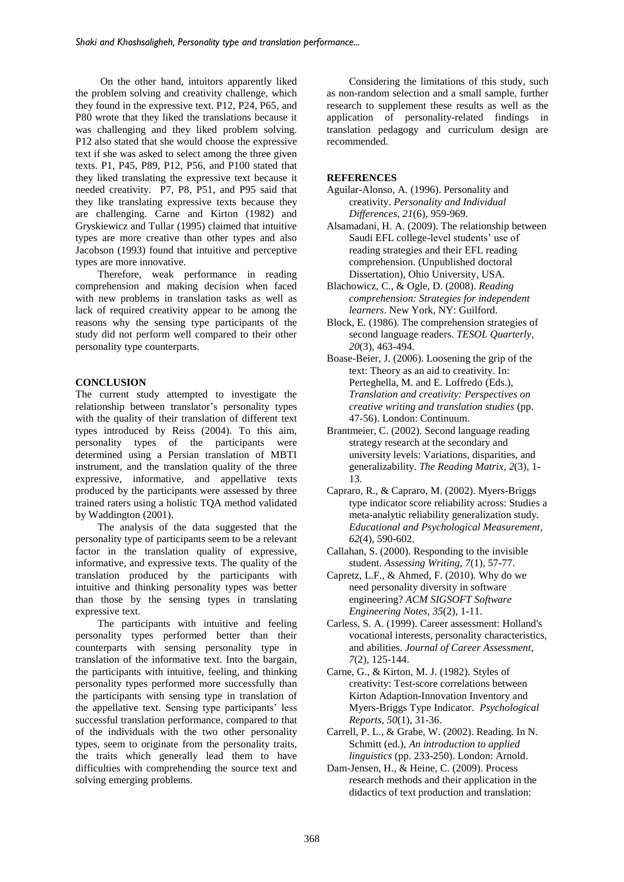On the other hand, intuitors apparently liked the problem solving and creativity challenge, which they found in the expressive text. P12, P24, P65, and P80 wrote that they liked the translations because it was challenging and they liked problem solving. P12 also stated that she would choose the expressive text if she was asked to select among the three given texts. P1, P45, P89, P12, P56, and P100 stated that they liked translating the expressive text because it needed creativity. P7, P8, P51, and P95 said that they like translating expressive texts because they are challenging. Carne and Kirton (1982) and Gryskiewicz and Tullar (1995) claimed that intuitive types are more creative than other types and also Jacobson (1993) found that intuitive and perceptive types are more innovative.

Therefore, weak performance in reading comprehension and making decision when faced with new problems in translation tasks as well as lack of required creativity appear to be among the reasons why the sensing type participants of the study did not perform well compared to their other personality type counterparts.

# **CONCLUSION**

The current study attempted to investigate the relationship between translator's personality types with the quality of their translation of different text types introduced by Reiss (2004). To this aim, personality types of the participants were determined using a Persian translation of MBTI instrument, and the translation quality of the three expressive, informative, and appellative texts produced by the participants were assessed by three trained raters using a holistic TQA method validated by Waddington (2001).

The analysis of the data suggested that the personality type of participants seem to be a relevant factor in the translation quality of expressive, informative, and expressive texts. The quality of the translation produced by the participants with intuitive and thinking personality types was better than those by the sensing types in translating expressive text.

The participants with intuitive and feeling personality types performed better than their counterparts with sensing personality type in translation of the informative text. Into the bargain, the participants with intuitive, feeling, and thinking personality types performed more successfully than the participants with sensing type in translation of the appellative text. Sensing type participants' less successful translation performance, compared to that of the individuals with the two other personality types, seem to originate from the personality traits, the traits which generally lead them to have difficulties with comprehending the source text and solving emerging problems.

Considering the limitations of this study, such as non-random selection and a small sample, further research to supplement these results as well as the application of personality-related findings in translation pedagogy and curriculum design are recommended.

#### **REFERENCES**

- Aguilar-Alonso, A. (1996). Personality and creativity. *Personality and Individual Differences, 21*(6), 959-969.
- Alsamadani, H. A. (2009). The relationship between Saudi EFL college-level students' use of reading strategies and their EFL reading comprehension. (Unpublished doctoral Dissertation), Ohio University, USA.
- Blachowicz, C., & Ogle, D. (2008). *Reading comprehension: Strategies for independent learners*. New York, NY: Guilford.
- Block, E. (1986). The comprehension strategies of second language readers. *TESOL Quarterly, 20*(3), 463-494.
- Boase-Beier, J. (2006). Loosening the grip of the text: Theory as an aid to creativity. In: Perteghella, M. and E. Loffredo (Eds.), *Translation and creativity: Perspectives on creative writing and translation studies* (pp. 47-56). London: Continuum.
- Brantmeier, C. (2002). Second language reading strategy research at the secondary and university levels: Variations, disparities, and generalizability. *The Reading Matrix, 2*(3), 1- 13.
- Capraro, R., & Capraro, M. (2002). Myers-Briggs type indicator score reliability across: Studies a meta-analytic reliability generalization study. *Educational and Psychological Measurement, 62*(4), 590-602.
- Callahan, S. (2000). Responding to the invisible student. *Assessing Writing, 7*(1), 57-77.
- Capretz, L.F., & Ahmed, F. (2010). Why do we need personality diversity in software engineering? *ACM SIGSOFT Software Engineering Notes, 35*(2), 1-11.
- Carless, S. A. (1999). Career assessment: Holland's vocational interests, personality characteristics, and abilities. *Journal of Career Assessment, 7*(2), 125-144.
- Carne, G., & Kirton, M. J. (1982). Styles of creativity: Test-score correlations between Kirton Adaption-Innovation Inventory and Myers-Briggs Type Indicator. *Psychological Reports, 50*(1), 31-36.
- Carrell, P. L., & Grabe, W. (2002). Reading. In N. Schmitt (ed.), *An introduction to applied linguistics* (pp. 233-250). London: Arnold.
- Dam-Jensen, H., & Heine, C. (2009). Process research methods and their application in the didactics of text production and translation: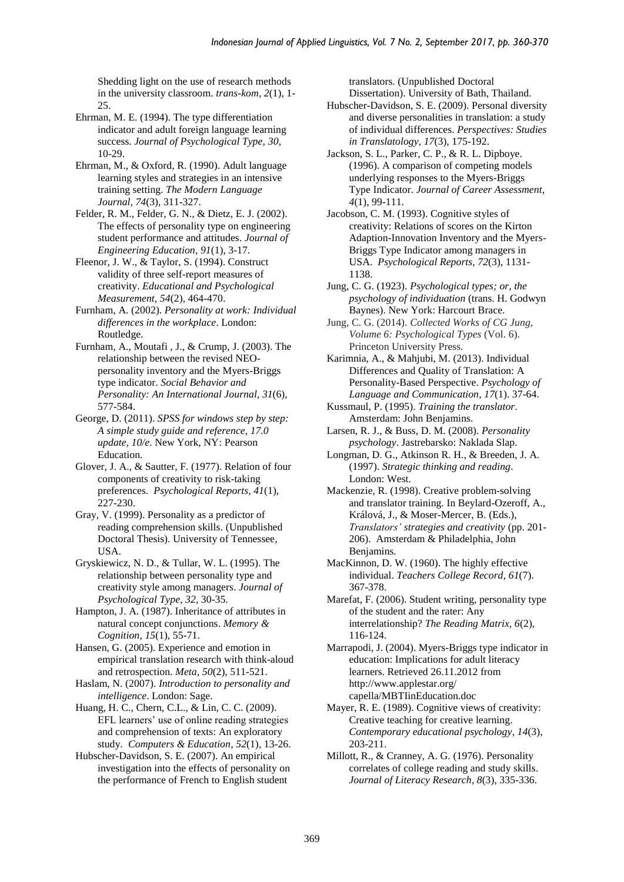Shedding light on the use of research methods in the university classroom. *trans-kom, 2*(1), 1- 25.

Ehrman, M. E. (1994). The type differentiation indicator and adult foreign language learning success. *Journal of Psychological Type, 30*, 10-29.

Ehrman, M., & Oxford, R. (1990). Adult language learning styles and strategies in an intensive training setting. *The Modern Language Journal, 74*(3), 311-327.

Felder, R. M., Felder, G. N., & Dietz, E. J. (2002). The effects of personality type on engineering student performance and attitudes. *Journal of Engineering Education*, *91*(1), 3-17.

Fleenor, J. W., & Taylor, S. (1994). Construct validity of three self-report measures of creativity. *Educational and Psychological Measurement, 54*(2), 464-470.

Furnham, A. (2002). *Personality at work: Individual differences in the workplace*. London: Routledge.

Furnham, A., Moutafi , J., & Crump, J. (2003). The relationship between the revised NEOpersonality inventory and the Myers-Briggs type indicator. *Social Behavior and Personality: An International Journal, 31*(6), 577-584.

George, D. (2011). *SPSS for windows step by step: A simple study guide and reference, 17.0 update, 10/e*. New York, NY: Pearson Education.

Glover, J. A., & Sautter, F. (1977). Relation of four components of creativity to risk-taking preferences. *Psychological Reports, 41*(1), 227-230.

Gray, V. (1999). Personality as a predictor of reading comprehension skills. (Unpublished Doctoral Thesis). University of Tennessee, USA.

Gryskiewicz, N. D., & Tullar, W. L. (1995). The relationship between personality type and creativity style among managers. *Journal of Psychological Type*, *32,* 30-35.

Hampton, J. A. (1987). Inheritance of attributes in natural concept conjunctions. *Memory & Cognition, 15*(1), 55-71.

Hansen, G. (2005). Experience and emotion in empirical translation research with think-aloud and retrospection. *Meta, 50*(2), 511-521.

Haslam, N. (2007). *Introduction to personality and intelligence*. London: Sage.

Huang, H. C., Chern, C.L., & Lin, C. C. (2009). EFL learners' use of online reading strategies and comprehension of texts: An exploratory study. *Computers & Education, 52*(1), 13-26.

Hubscher-Davidson, S. E. (2007). An empirical investigation into the effects of personality on the performance of French to English student

translators. (Unpublished Doctoral Dissertation). University of Bath, Thailand.

Hubscher-Davidson, S. E. (2009). Personal diversity and diverse personalities in translation: a study of individual differences. *Perspectives: Studies in Translatology, 17*(3), 175-192.

Jackson, S. L., Parker, C. P., & R. L. Dipboye. (1996). A comparison of competing models underlying responses to the Myers-Briggs Type Indicator. *Journal of Career Assessment, 4*(1), 99-111.

Jacobson, C. M. (1993). Cognitive styles of creativity: Relations of scores on the Kirton Adaption-Innovation Inventory and the Myers-Briggs Type Indicator among managers in USA. *Psychological Reports, 72*(3), 1131- 1138.

Jung, C. G. (1923). *Psychological types; or, the psychology of individuation* (trans. H. Godwyn Baynes). New York: Harcourt Brace.

Jung, C. G. (2014). *Collected Works of CG Jung, Volume 6: Psychological Types* (Vol. 6). Princeton University Press.

Karimnia, A., & Mahjubi, M. (2013). Individual Differences and Quality of Translation: A Personality-Based Perspective. *Psychology of Language and Communication, 17*(1). 37-64.

Kussmaul, P. (1995). *Training the translator*. Amsterdam: John Benjamins.

Larsen, R. J., & Buss, D. M. (2008). *Personality psychology*. Jastrebarsko: Naklada Slap.

Longman, D. G., Atkinson R. H., & Breeden, J. A. (1997). *Strategic thinking and reading*. London: West.

Mackenzie, R. (1998). Creative problem-solving and translator training. In Beylard-Ozeroff, A., Králová, J., & Moser-Mercer, B. (Eds.), *Translators' strategies and creativity* (pp. 201- 206). Amsterdam & Philadelphia, John Benjamins.

MacKinnon, D. W. (1960). The highly effective individual. *Teachers College Record, 61*(7). 367-378.

Marefat, F. (2006). Student writing, personality type of the student and the rater: Any interrelationship? *The Reading Matrix, 6*(2), 116-124.

Marrapodi, J. (2004). Myers-Briggs type indicator in education: Implications for adult literacy learners. Retrieved 26.11.2012 from http://www.applestar.org/ capella/MBTIinEducation.doc

Mayer, R. E. (1989). Cognitive views of creativity: Creative teaching for creative learning. *Contemporary educational psychology, 14*(3), 203-211.

Millott, R., & Cranney, A. G. (1976). Personality correlates of college reading and study skills. *Journal of Literacy Research, 8*(3), 335-336.